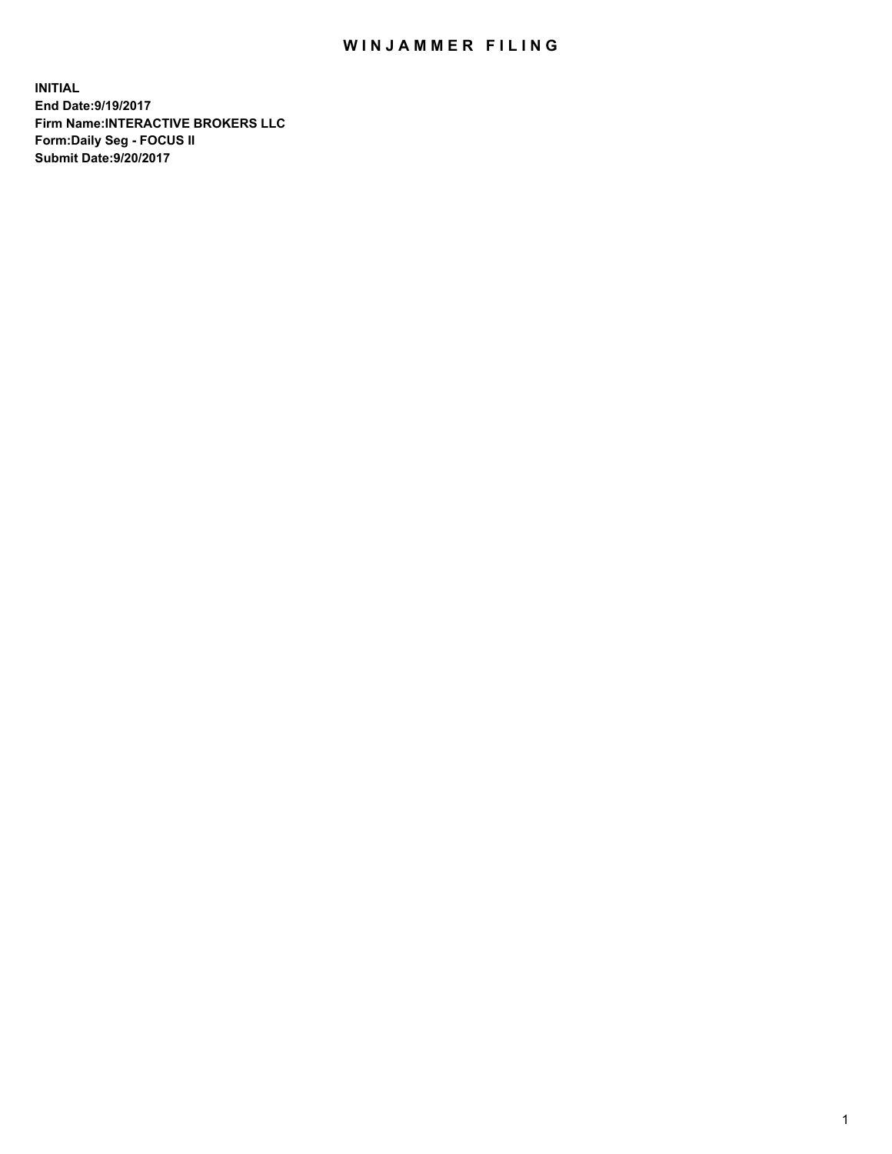## WIN JAMMER FILING

**INITIAL End Date:9/19/2017 Firm Name:INTERACTIVE BROKERS LLC Form:Daily Seg - FOCUS II Submit Date:9/20/2017**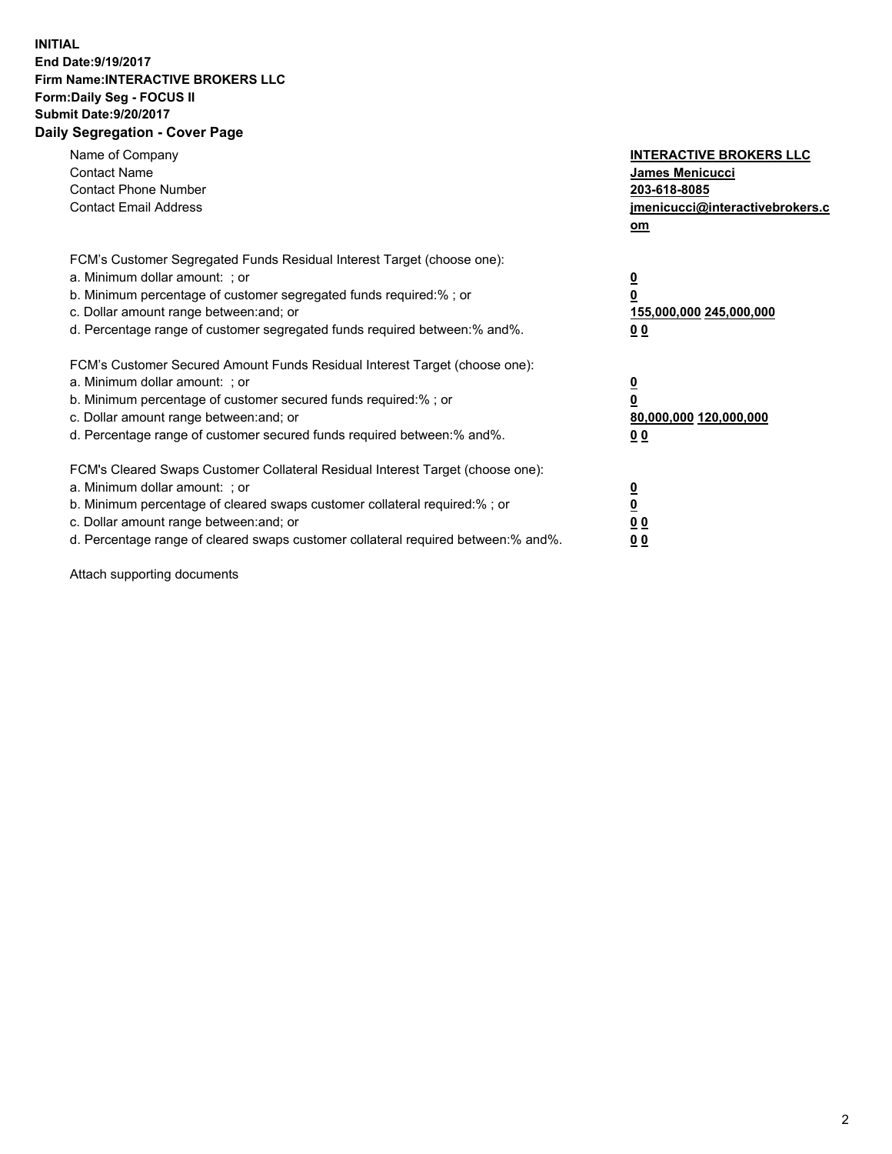## **INITIAL End Date:9/19/2017 Firm Name:INTERACTIVE BROKERS LLC Form:Daily Seg - FOCUS II Submit Date:9/20/2017 Daily Segregation - Cover Page**

| Name of Company<br><b>Contact Name</b><br><b>Contact Phone Number</b><br><b>Contact Email Address</b>                                                                                                                                                                                                                          | <b>INTERACTIVE BROKERS LLC</b><br>James Menicucci<br>203-618-8085<br>jmenicucci@interactivebrokers.c<br>om |
|--------------------------------------------------------------------------------------------------------------------------------------------------------------------------------------------------------------------------------------------------------------------------------------------------------------------------------|------------------------------------------------------------------------------------------------------------|
| FCM's Customer Segregated Funds Residual Interest Target (choose one):<br>a. Minimum dollar amount: ; or<br>b. Minimum percentage of customer segregated funds required:%; or<br>c. Dollar amount range between: and; or<br>d. Percentage range of customer segregated funds required between:% and%.                          | $\overline{\mathbf{0}}$<br>0<br>155,000,000 245,000,000<br>0 <sub>0</sub>                                  |
| FCM's Customer Secured Amount Funds Residual Interest Target (choose one):<br>a. Minimum dollar amount: ; or<br>b. Minimum percentage of customer secured funds required:%; or<br>c. Dollar amount range between: and; or<br>d. Percentage range of customer secured funds required between:% and%.                            | $\overline{\mathbf{0}}$<br>$\overline{\mathbf{0}}$<br>80,000,000 120,000,000<br>00                         |
| FCM's Cleared Swaps Customer Collateral Residual Interest Target (choose one):<br>a. Minimum dollar amount: ; or<br>b. Minimum percentage of cleared swaps customer collateral required:% ; or<br>c. Dollar amount range between: and; or<br>d. Percentage range of cleared swaps customer collateral required between:% and%. | $\overline{\mathbf{0}}$<br>$\overline{\mathbf{0}}$<br>0 <sub>0</sub><br><u>00</u>                          |

Attach supporting documents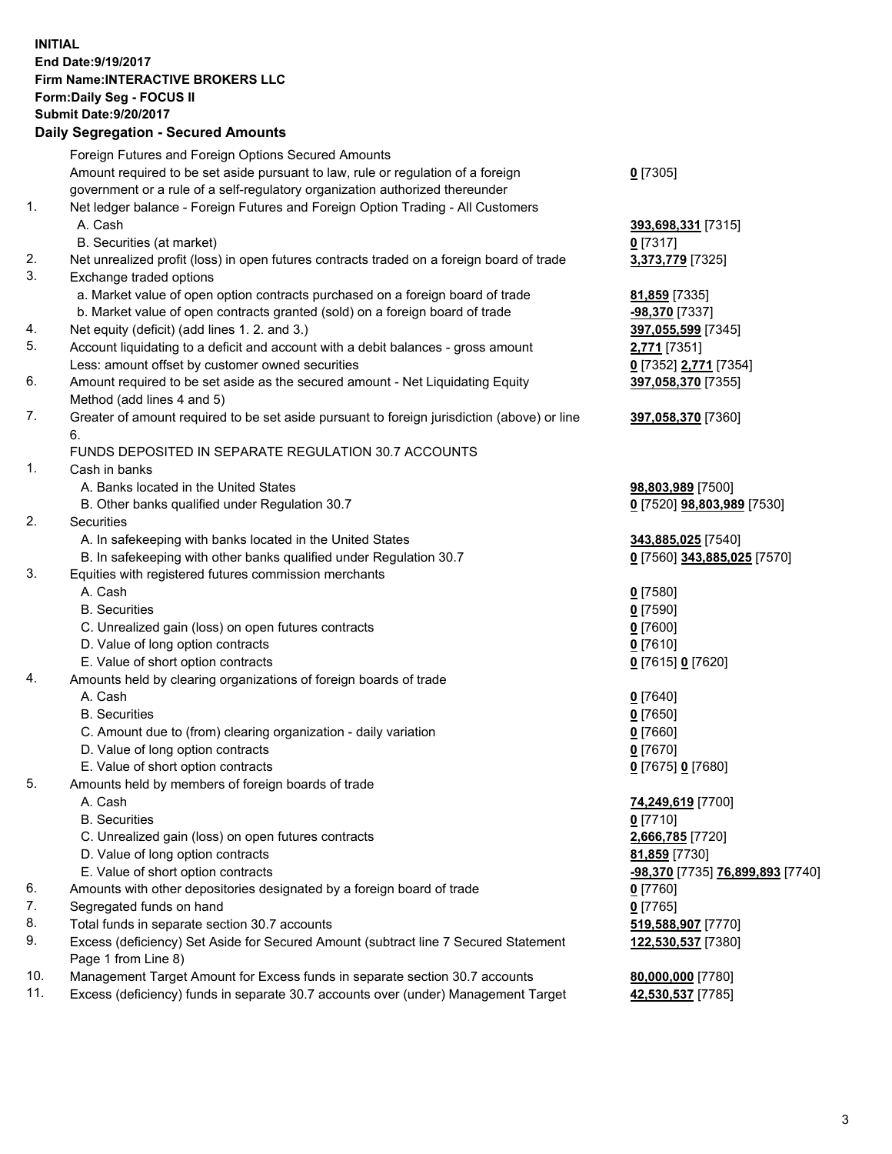## **INITIAL End Date:9/19/2017 Firm Name:INTERACTIVE BROKERS LLC Form:Daily Seg - FOCUS II Submit Date:9/20/2017**

## **Daily Segregation - Secured Amounts** Foreign Futures and Foreign Options Secured Amounts Amount required to be set aside pursuant to law, rule or regulation of a foreign government or a rule of a self-regulatory organization authorized thereunder **0** [7305] 1. Net ledger balance - Foreign Futures and Foreign Option Trading - All Customers A. Cash **393,698,331** [7315] B. Securities (at market) **0** [7317] 2. Net unrealized profit (loss) in open futures contracts traded on a foreign board of trade **3,373,779** [7325] 3. Exchange traded options a. Market value of open option contracts purchased on a foreign board of trade **81,859** [7335] b. Market value of open contracts granted (sold) on a foreign board of trade **-98,370** [7337] 4. Net equity (deficit) (add lines 1. 2. and 3.) **397,055,599** [7345] 5. Account liquidating to a deficit and account with a debit balances - gross amount **2,771** [7351] Less: amount offset by customer owned securities **0** [7352] **2,771** [7354] 6. Amount required to be set aside as the secured amount - Net Liquidating Equity Method (add lines 4 and 5) **397,058,370** [7355] 7. Greater of amount required to be set aside pursuant to foreign jurisdiction (above) or line 6. **397,058,370** [7360] FUNDS DEPOSITED IN SEPARATE REGULATION 30.7 ACCOUNTS 1. Cash in banks A. Banks located in the United States **98,803,989** [7500] B. Other banks qualified under Regulation 30.7 **0** [7520] **98,803,989** [7530] 2. Securities A. In safekeeping with banks located in the United States **343,885,025** [7540] B. In safekeeping with other banks qualified under Regulation 30.7 **0** [7560] **343,885,025** [7570] 3. Equities with registered futures commission merchants A. Cash **0** [7580] B. Securities **0** [7590] C. Unrealized gain (loss) on open futures contracts **0** [7600] D. Value of long option contracts **0** [7610] E. Value of short option contracts **0** [7615] **0** [7620] 4. Amounts held by clearing organizations of foreign boards of trade A. Cash **0** [7640] B. Securities **0** [7650] C. Amount due to (from) clearing organization - daily variation **0** [7660] D. Value of long option contracts **0** [7670] E. Value of short option contracts **0** [7675] **0** [7680] 5. Amounts held by members of foreign boards of trade A. Cash **74,249,619** [7700] B. Securities **0** [7710] C. Unrealized gain (loss) on open futures contracts **2,666,785** [7720] D. Value of long option contracts **81,859** [7730] E. Value of short option contracts **-98,370** [7735] **76,899,893** [7740] 6. Amounts with other depositories designated by a foreign board of trade **0** [7760] 7. Segregated funds on hand **0** [7765] 8. Total funds in separate section 30.7 accounts **519,588,907** [7770] 9. Excess (deficiency) Set Aside for Secured Amount (subtract line 7 Secured Statement Page 1 from Line 8) **122,530,537** [7380] 10. Management Target Amount for Excess funds in separate section 30.7 accounts **80,000,000** [7780]

11. Excess (deficiency) funds in separate 30.7 accounts over (under) Management Target **42,530,537** [7785]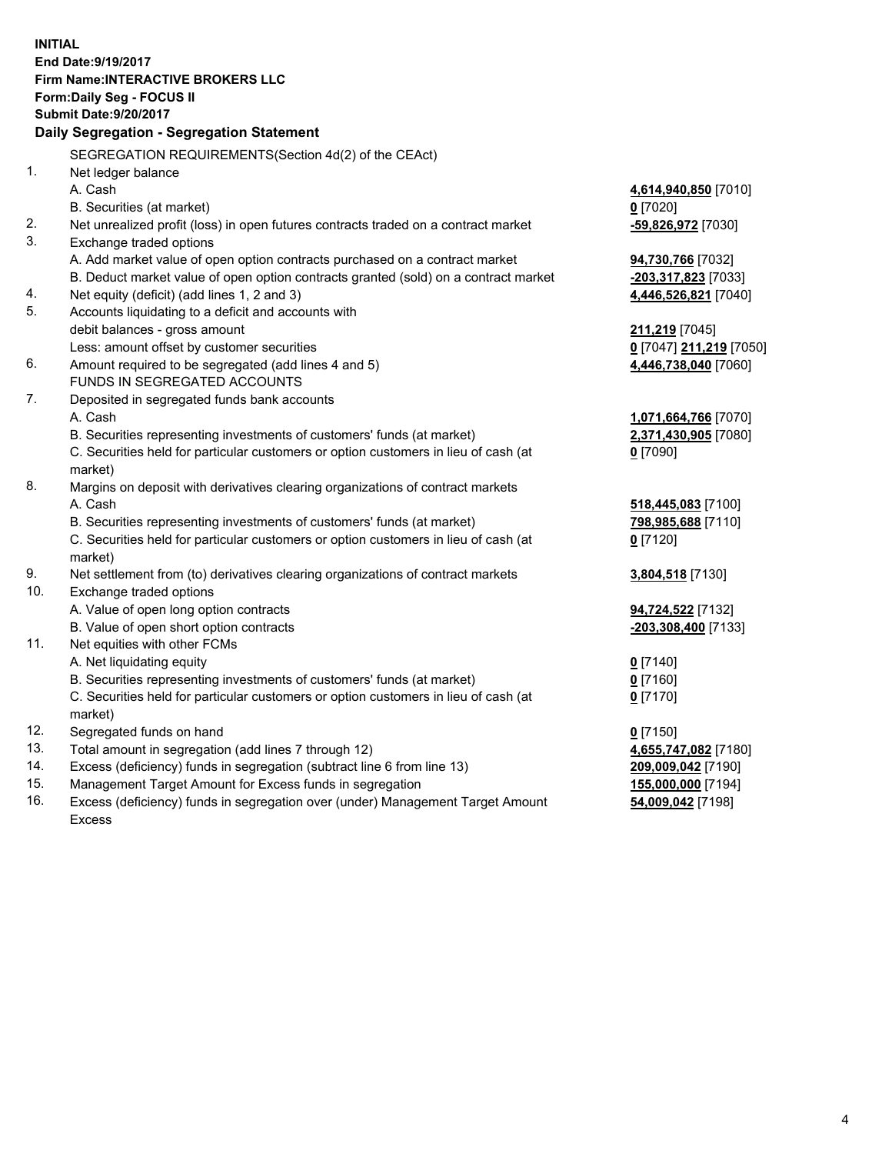**INITIAL End Date:9/19/2017 Firm Name:INTERACTIVE BROKERS LLC Form:Daily Seg - FOCUS II Submit Date:9/20/2017 Daily Segregation - Segregation Statement** SEGREGATION REQUIREMENTS(Section 4d(2) of the CEAct) 1. Net ledger balance A. Cash **4,614,940,850** [7010] B. Securities (at market) **0** [7020] 2. Net unrealized profit (loss) in open futures contracts traded on a contract market **-59,826,972** [7030] 3. Exchange traded options A. Add market value of open option contracts purchased on a contract market **94,730,766** [7032] B. Deduct market value of open option contracts granted (sold) on a contract market **-203,317,823** [7033] 4. Net equity (deficit) (add lines 1, 2 and 3) **4,446,526,821** [7040] 5. Accounts liquidating to a deficit and accounts with debit balances - gross amount **211,219** [7045] Less: amount offset by customer securities **0** [7047] **211,219** [7050] 6. Amount required to be segregated (add lines 4 and 5) **4,446,738,040** [7060] FUNDS IN SEGREGATED ACCOUNTS 7. Deposited in segregated funds bank accounts A. Cash **1,071,664,766** [7070] B. Securities representing investments of customers' funds (at market) **2,371,430,905** [7080] C. Securities held for particular customers or option customers in lieu of cash (at market) **0** [7090] 8. Margins on deposit with derivatives clearing organizations of contract markets A. Cash **518,445,083** [7100] B. Securities representing investments of customers' funds (at market) **798,985,688** [7110] C. Securities held for particular customers or option customers in lieu of cash (at market) **0** [7120] 9. Net settlement from (to) derivatives clearing organizations of contract markets **3,804,518** [7130] 10. Exchange traded options A. Value of open long option contracts **94,724,522** [7132] B. Value of open short option contracts **-203,308,400** [7133] 11. Net equities with other FCMs A. Net liquidating equity **0** [7140] B. Securities representing investments of customers' funds (at market) **0** [7160] C. Securities held for particular customers or option customers in lieu of cash (at market) **0** [7170] 12. Segregated funds on hand **0** [7150] 13. Total amount in segregation (add lines 7 through 12) **4,655,747,082** [7180] 14. Excess (deficiency) funds in segregation (subtract line 6 from line 13) **209,009,042** [7190] 15. Management Target Amount for Excess funds in segregation **155,000,000** [7194]

16. Excess (deficiency) funds in segregation over (under) Management Target Amount Excess

**54,009,042** [7198]